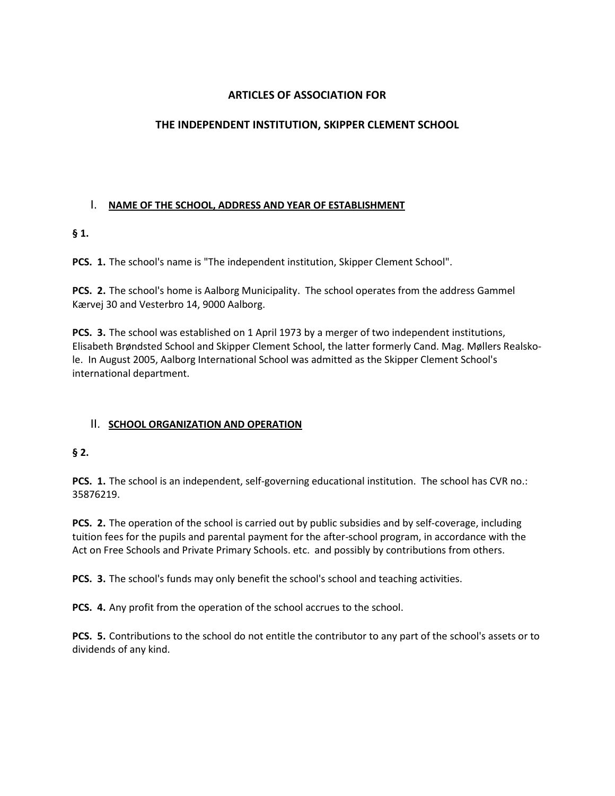# **ARTICLES OF ASSOCIATION FOR**

# **THE INDEPENDENT INSTITUTION, SKIPPER CLEMENT SCHOOL**

## I. **NAME OF THE SCHOOL, ADDRESS AND YEAR OF ESTABLISHMENT**

# **§ 1.**

**PCS. 1.** The school's name is "The independent institution, Skipper Clement School".

**PCS. 2.** The school's home is Aalborg Municipality. The school operates from the address Gammel Kærvej 30 and Vesterbro 14, 9000 Aalborg.

**PCS. 3.** The school was established on 1 April 1973 by a merger of two independent institutions, Elisabeth Brøndsted School and Skipper Clement School, the latter formerly Cand. Mag. Møllers Realskole. In August 2005, Aalborg International School was admitted as the Skipper Clement School's international department.

## II. **SCHOOL ORGANIZATION AND OPERATION**

## **§ 2.**

**PCS. 1.** The school is an independent, self-governing educational institution. The school has CVR no.: 35876219.

**PCS. 2.** The operation of the school is carried out by public subsidies and by self-coverage, including tuition fees for the pupils and parental payment for the after-school program, in accordance with the Act on Free Schools and Private Primary Schools. etc. and possibly by contributions from others.

**PCS. 3.** The school's funds may only benefit the school's school and teaching activities.

**PCS. 4.** Any profit from the operation of the school accrues to the school.

**PCS. 5.** Contributions to the school do not entitle the contributor to any part of the school's assets or to dividends of any kind.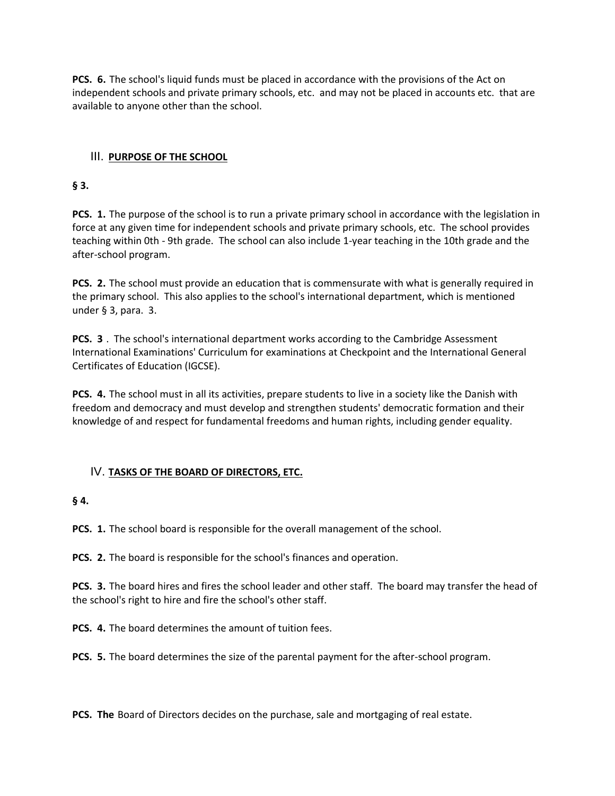**PCS. 6.** The school's liquid funds must be placed in accordance with the provisions of the Act on independent schools and private primary schools, etc. and may not be placed in accounts etc. that are available to anyone other than the school.

# III. **PURPOSE OF THE SCHOOL**

## **§ 3.**

**PCS. 1.** The purpose of the school is to run a private primary school in accordance with the legislation in force at any given time for independent schools and private primary schools, etc. The school provides teaching within 0th - 9th grade. The school can also include 1-year teaching in the 10th grade and the after-school program.

**PCS. 2.** The school must provide an education that is commensurate with what is generally required in the primary school. This also applies to the school's international department, which is mentioned under § 3, para. 3.

**PCS. 3** . The school's international department works according to the Cambridge Assessment International Examinations' Curriculum for examinations at Checkpoint and the International General Certificates of Education (IGCSE).

**PCS. 4.** The school must in all its activities, prepare students to live in a society like the Danish with freedom and democracy and must develop and strengthen students' democratic formation and their knowledge of and respect for fundamental freedoms and human rights, including gender equality.

## IV. **TASKS OF THE BOARD OF DIRECTORS, ETC.**

## **§ 4.**

**PCS. 1.** The school board is responsible for the overall management of the school.

**PCS. 2.** The board is responsible for the school's finances and operation.

**PCS. 3.** The board hires and fires the school leader and other staff. The board may transfer the head of the school's right to hire and fire the school's other staff.

**PCS. 4.** The board determines the amount of tuition fees.

**PCS. 5.** The board determines the size of the parental payment for the after-school program.

**PCS. The** Board of Directors decides on the purchase, sale and mortgaging of real estate.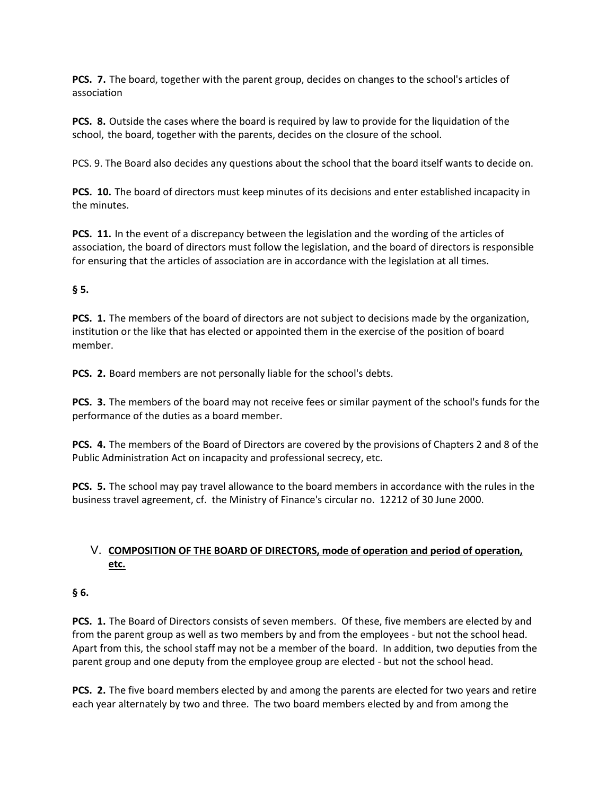**PCS. 7.** The board, together with the parent group, decides on changes to the school's articles of association

**PCS. 8.** Outside the cases where the board is required by law to provide for the liquidation of the school, the board, together with the parents, decides on the closure of the school.

PCS. 9. The Board also decides any questions about the school that the board itself wants to decide on.

**PCS. 10.** The board of directors must keep minutes of its decisions and enter established incapacity in the minutes.

**PCS. 11.** In the event of a discrepancy between the legislation and the wording of the articles of association, the board of directors must follow the legislation, and the board of directors is responsible for ensuring that the articles of association are in accordance with the legislation at all times.

#### **§ 5.**

**PCS. 1.** The members of the board of directors are not subject to decisions made by the organization, institution or the like that has elected or appointed them in the exercise of the position of board member.

**PCS. 2.** Board members are not personally liable for the school's debts.

**PCS. 3.** The members of the board may not receive fees or similar payment of the school's funds for the performance of the duties as a board member.

**PCS. 4.** The members of the Board of Directors are covered by the provisions of Chapters 2 and 8 of the Public Administration Act on incapacity and professional secrecy, etc.

**PCS. 5.** The school may pay travel allowance to the board members in accordance with the rules in the business travel agreement, cf. the Ministry of Finance's circular no. 12212 of 30 June 2000.

## V. **COMPOSITION OF THE BOARD OF DIRECTORS, mode of operation and period of operation, etc.**

#### **§ 6.**

**PCS. 1.** The Board of Directors consists of seven members. Of these, five members are elected by and from the parent group as well as two members by and from the employees - but not the school head. Apart from this, the school staff may not be a member of the board. In addition, two deputies from the parent group and one deputy from the employee group are elected - but not the school head.

**PCS. 2.** The five board members elected by and among the parents are elected for two years and retire each year alternately by two and three. The two board members elected by and from among the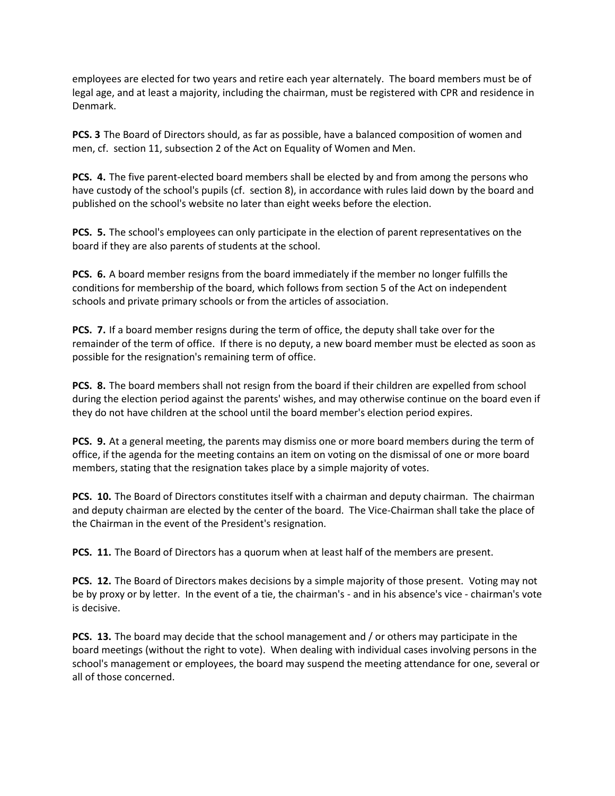employees are elected for two years and retire each year alternately. The board members must be of legal age, and at least a majority, including the chairman, must be registered with CPR and residence in Denmark.

**PCS. 3** The Board of Directors should, as far as possible, have a balanced composition of women and men, cf. section 11, subsection 2 of the Act on Equality of Women and Men.

**PCS. 4.** The five parent-elected board members shall be elected by and from among the persons who have custody of the school's pupils (cf. section 8), in accordance with rules laid down by the board and published on the school's website no later than eight weeks before the election.

**PCS. 5.** The school's employees can only participate in the election of parent representatives on the board if they are also parents of students at the school.

**PCS. 6.** A board member resigns from the board immediately if the member no longer fulfills the conditions for membership of the board, which follows from section 5 of the Act on independent schools and private primary schools or from the articles of association.

**PCS. 7.** If a board member resigns during the term of office, the deputy shall take over for the remainder of the term of office. If there is no deputy, a new board member must be elected as soon as possible for the resignation's remaining term of office.

**PCS. 8.** The board members shall not resign from the board if their children are expelled from school during the election period against the parents' wishes, and may otherwise continue on the board even if they do not have children at the school until the board member's election period expires.

**PCS. 9.** At a general meeting, the parents may dismiss one or more board members during the term of office, if the agenda for the meeting contains an item on voting on the dismissal of one or more board members, stating that the resignation takes place by a simple majority of votes.

**PCS. 10.** The Board of Directors constitutes itself with a chairman and deputy chairman. The chairman and deputy chairman are elected by the center of the board. The Vice-Chairman shall take the place of the Chairman in the event of the President's resignation.

**PCS. 11.** The Board of Directors has a quorum when at least half of the members are present.

**PCS. 12.** The Board of Directors makes decisions by a simple majority of those present. Voting may not be by proxy or by letter. In the event of a tie, the chairman's - and in his absence's vice - chairman's vote is decisive.

**PCS. 13.** The board may decide that the school management and / or others may participate in the board meetings (without the right to vote). When dealing with individual cases involving persons in the school's management or employees, the board may suspend the meeting attendance for one, several or all of those concerned.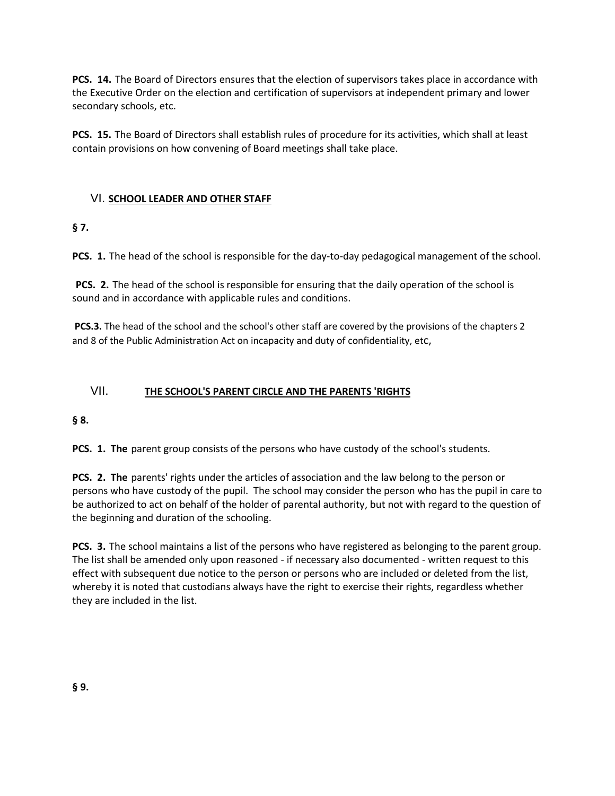**PCS. 14.** The Board of Directors ensures that the election of supervisors takes place in accordance with the Executive Order on the election and certification of supervisors at independent primary and lower secondary schools, etc.

**PCS. 15.** The Board of Directors shall establish rules of procedure for its activities, which shall at least contain provisions on how convening of Board meetings shall take place.

## VI. **SCHOOL LEADER AND OTHER STAFF**

**§ 7.**

**PCS. 1.** The head of the school is responsible for the day-to-day pedagogical management of the school.

**PCS. 2.** The head of the school is responsible for ensuring that the daily operation of the school is sound and in accordance with applicable rules and conditions.

**PCS.3.** The head of the school and the school's other staff are covered by the provisions of the chapters 2 and 8 of the Public Administration Act on incapacity and duty of confidentiality, etc,

## VII. **THE SCHOOL'S PARENT CIRCLE AND THE PARENTS 'RIGHTS**

**§ 8.**

**PCS. 1. The** parent group consists of the persons who have custody of the school's students.

**PCS. 2. The** parents' rights under the articles of association and the law belong to the person or persons who have custody of the pupil. The school may consider the person who has the pupil in care to be authorized to act on behalf of the holder of parental authority, but not with regard to the question of the beginning and duration of the schooling.

**PCS. 3.** The school maintains a list of the persons who have registered as belonging to the parent group. The list shall be amended only upon reasoned - if necessary also documented - written request to this effect with subsequent due notice to the person or persons who are included or deleted from the list, whereby it is noted that custodians always have the right to exercise their rights, regardless whether they are included in the list.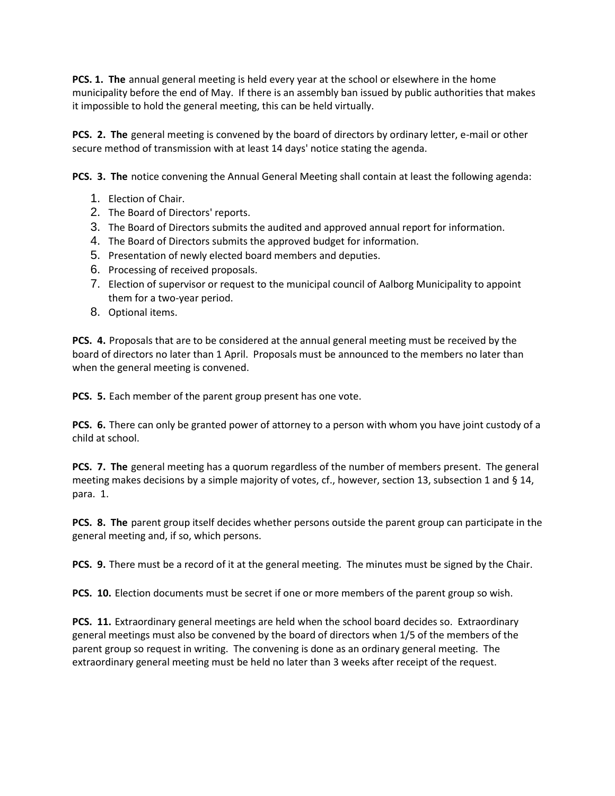**PCS. 1. The** annual general meeting is held every year at the school or elsewhere in the home municipality before the end of May. If there is an assembly ban issued by public authorities that makes it impossible to hold the general meeting, this can be held virtually.

**PCS. 2. The** general meeting is convened by the board of directors by ordinary letter, e-mail or other secure method of transmission with at least 14 days' notice stating the agenda.

**PCS. 3. The** notice convening the Annual General Meeting shall contain at least the following agenda:

- 1. Election of Chair.
- 2. The Board of Directors' reports.
- 3. The Board of Directors submits the audited and approved annual report for information.
- 4. The Board of Directors submits the approved budget for information.
- 5. Presentation of newly elected board members and deputies.
- 6. Processing of received proposals.
- 7. Election of supervisor or request to the municipal council of Aalborg Municipality to appoint them for a two-year period.
- 8. Optional items.

**PCS. 4.** Proposals that are to be considered at the annual general meeting must be received by the board of directors no later than 1 April. Proposals must be announced to the members no later than when the general meeting is convened.

**PCS. 5.** Each member of the parent group present has one vote.

**PCS. 6.** There can only be granted power of attorney to a person with whom you have joint custody of a child at school.

**PCS. 7. The** general meeting has a quorum regardless of the number of members present. The general meeting makes decisions by a simple majority of votes, cf., however, section 13, subsection 1 and § 14, para. 1.

**PCS. 8. The** parent group itself decides whether persons outside the parent group can participate in the general meeting and, if so, which persons.

**PCS. 9.** There must be a record of it at the general meeting. The minutes must be signed by the Chair.

**PCS. 10.** Election documents must be secret if one or more members of the parent group so wish.

**PCS. 11.** Extraordinary general meetings are held when the school board decides so. Extraordinary general meetings must also be convened by the board of directors when 1/5 of the members of the parent group so request in writing. The convening is done as an ordinary general meeting. The extraordinary general meeting must be held no later than 3 weeks after receipt of the request.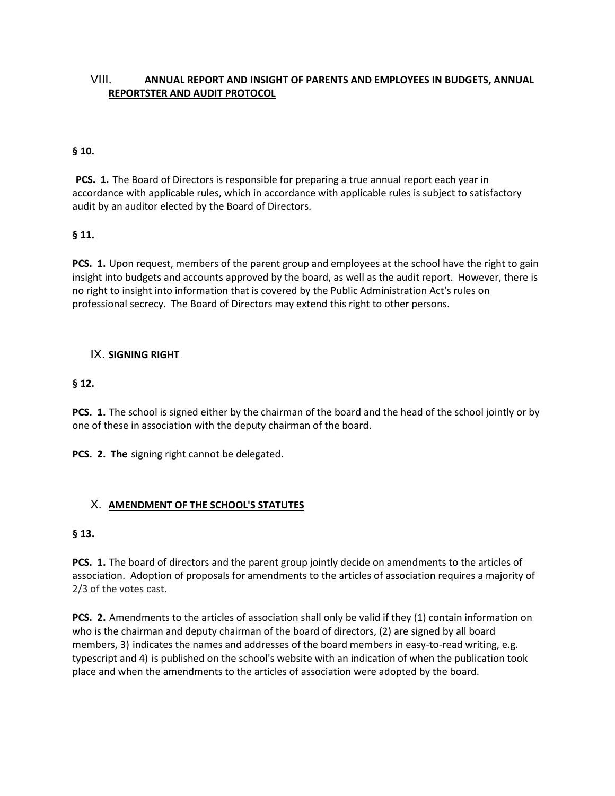# VIII. **ANNUAL REPORT AND INSIGHT OF PARENTS AND EMPLOYEES IN BUDGETS, ANNUAL REPORTSTER AND AUDIT PROTOCOL**

#### **§ 10.**

**PCS. 1.** The Board of Directors is responsible for preparing a true annual report each year in accordance with applicable rules, which in accordance with applicable rules is subject to satisfactory audit by an auditor elected by the Board of Directors.

#### **§ 11.**

**PCS. 1.** Upon request, members of the parent group and employees at the school have the right to gain insight into budgets and accounts approved by the board, as well as the audit report. However, there is no right to insight into information that is covered by the Public Administration Act's rules on professional secrecy. The Board of Directors may extend this right to other persons.

#### IX. **SIGNING RIGHT**

#### **§ 12.**

**PCS. 1.** The school is signed either by the chairman of the board and the head of the school jointly or by one of these in association with the deputy chairman of the board.

**PCS. 2. The** signing right cannot be delegated.

## X. **AMENDMENT OF THE SCHOOL'S STATUTES**

#### **§ 13.**

**PCS. 1.** The board of directors and the parent group jointly decide on amendments to the articles of association. Adoption of proposals for amendments to the articles of association requires a majority of 2/3 of the votes cast.

**PCS. 2.** Amendments to the articles of association shall only be valid if they (1) contain information on who is the chairman and deputy chairman of the board of directors, (2) are signed by all board members, 3) indicates the names and addresses of the board members in easy-to-read writing, e.g. typescript and 4) is published on the school's website with an indication of when the publication took place and when the amendments to the articles of association were adopted by the board.